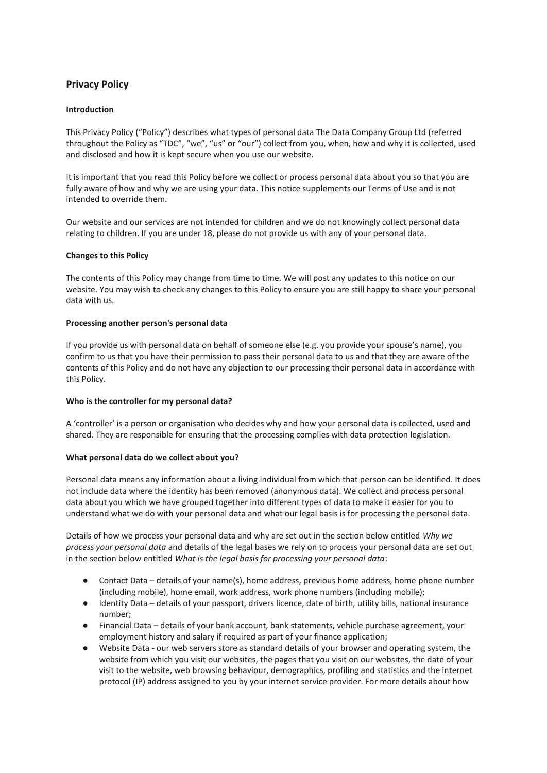# **Privacy Policy**

## **Introduction**

This Privacy Policy ("Policy") describes what types of personal data The Data Company Group Ltd (referred throughout the Policy as "TDC", "we", "us" or "our") collect from you, when, how and why it is collected, used and disclosed and how it is kept secure when you use our website.

It is important that you read this Policy before we collect or process personal data about you so that you are fully aware of how and why we are using your data. This notice supplements our Terms of Use and is not intended to override them.

Our website and our services are not intended for children and we do not knowingly collect personal data relating to children. If you are under 18, please do not provide us with any of your personal data.

## **Changes to this Policy**

The contents of this Policy may change from time to time. We will post any updates to this notice on our website. You may wish to check any changes to this Policy to ensure you are still happy to share your personal data with us.

## **Processing another person's personal data**

If you provide us with personal data on behalf of someone else (e.g. you provide your spouse's name), you confirm to us that you have their permission to pass their personal data to us and that they are aware of the contents of this Policy and do not have any objection to our processing their personal data in accordance with this Policy.

# **Who is the controller for my personal data?**

A 'controller' is a person or organisation who decides why and how your personal data is collected, used and shared. They are responsible for ensuring that the processing complies with data protection legislation.

# **What personal data do we collect about you?**

Personal data means any information about a living individual from which that person can be identified. It does not include data where the identity has been removed (anonymous data). We collect and process personal data about you which we have grouped together into different types of data to make it easier for you to understand what we do with your personal data and what our legal basis is for processing the personal data.

Details of how we process your personal data and why are set out in the section below entitled *Why we process your personal data* and details of the legal bases we rely on to process your personal data are set out in the section below entitled *What is the legal basis for processing your personal data*:

- Contact Data details of your name(s), home address, previous home address, home phone number (including mobile), home email, work address, work phone numbers (including mobile);
- Identity Data details of your passport, drivers licence, date of birth, utility bills, national insurance number;
- Financial Data details of your bank account, bank statements, vehicle purchase agreement, your employment history and salary if required as part of your finance application;
- Website Data our web servers store as standard details of your browser and operating system, the website from which you visit our websites, the pages that you visit on our websites, the date of your visit to the website, web browsing behaviour, demographics, profiling and statistics and the internet protocol (IP) address assigned to you by your internet service provider. For more details about how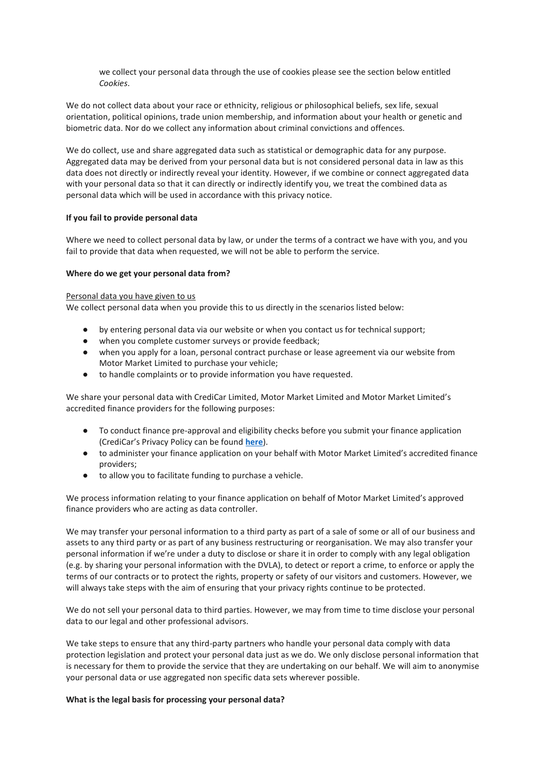we collect your personal data through the use of cookies please see the section below entitled *Cookies*.

We do not collect data about your race or ethnicity, religious or philosophical beliefs, sex life, sexual orientation, political opinions, trade union membership, and information about your health or genetic and biometric data. Nor do we collect any information about criminal convictions and offences.

We do collect, use and share aggregated data such as statistical or demographic data for any purpose. Aggregated data may be derived from your personal data but is not considered personal data in law as this data does not directly or indirectly reveal your identity. However, if we combine or connect aggregated data with your personal data so that it can directly or indirectly identify you, we treat the combined data as personal data which will be used in accordance with this privacy notice.

## **If you fail to provide personal data**

Where we need to collect personal data by law, or under the terms of a contract we have with you, and you fail to provide that data when requested, we will not be able to perform the service.

## **Where do we get your personal data from?**

#### Personal data you have given to us

We collect personal data when you provide this to us directly in the scenarios listed below:

- by entering personal data via our website or when you contact us for technical support;
- when you complete customer surveys or provide feedback;
- when you apply for a loan, personal contract purchase or lease agreement via our website from Motor Market Limited to purchase your vehicle;
- to handle complaints or to provide information you have requested.

We share your personal data with CrediCar Limited, Motor Market Limited and Motor Market Limited's accredited finance providers for the following purposes:

- To conduct finance pre-approval and eligibility checks before you submit your finance application (CrediCar's Privacy Policy can be found **[here](https://simplyquote.me/docstore/CrediCar_Privacy_Policy.pdf)**).
- to administer your finance application on your behalf with Motor Market Limited's accredited finance providers;
- to allow you to facilitate funding to purchase a vehicle.

We process information relating to your finance application on behalf of Motor Market Limited's approved finance providers who are acting as data controller.

We may transfer your personal information to a third party as part of a sale of some or all of our business and assets to any third party or as part of any business restructuring or reorganisation. We may also transfer your personal information if we're under a duty to disclose or share it in order to comply with any legal obligation (e.g. by sharing your personal information with the DVLA), to detect or report a crime, to enforce or apply the terms of our contracts or to protect the rights, property or safety of our visitors and customers. However, we will always take steps with the aim of ensuring that your privacy rights continue to be protected.

We do not sell your personal data to third parties. However, we may from time to time disclose your personal data to our legal and other professional advisors.

We take steps to ensure that any third-party partners who handle your personal data comply with data protection legislation and protect your personal data just as we do. We only disclose personal information that is necessary for them to provide the service that they are undertaking on our behalf. We will aim to anonymise your personal data or use aggregated non specific data sets wherever possible.

#### **What is the legal basis for processing your personal data?**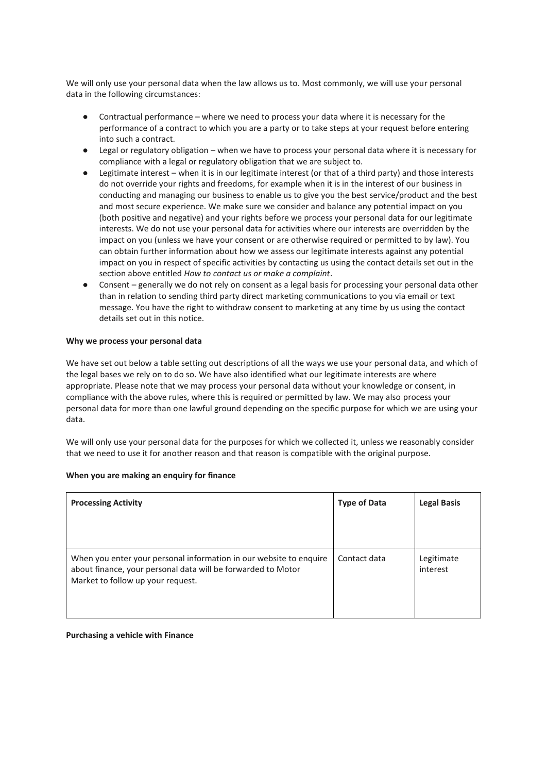We will only use your personal data when the law allows us to. Most commonly, we will use your personal data in the following circumstances:

- Contractual performance where we need to process your data where it is necessary for the performance of a contract to which you are a party or to take steps at your request before entering into such a contract.
- Legal or regulatory obligation when we have to process your personal data where it is necessary for compliance with a legal or regulatory obligation that we are subject to.
- Legitimate interest when it is in our legitimate interest (or that of a third party) and those interests do not override your rights and freedoms, for example when it is in the interest of our business in conducting and managing our business to enable us to give you the best service/product and the best and most secure experience. We make sure we consider and balance any potential impact on you (both positive and negative) and your rights before we process your personal data for our legitimate interests. We do not use your personal data for activities where our interests are overridden by the impact on you (unless we have your consent or are otherwise required or permitted to by law). You can obtain further information about how we assess our legitimate interests against any potential impact on you in respect of specific activities by contacting us using the contact details set out in the section above entitled *How to contact us or make a complaint*.
- Consent generally we do not rely on consent as a legal basis for processing your personal data other than in relation to sending third party direct marketing communications to you via email or text message. You have the right to withdraw consent to marketing at any time by us using the contact details set out in this notice.

## **Why we process your personal data**

We have set out below a table setting out descriptions of all the ways we use your personal data, and which of the legal bases we rely on to do so. We have also identified what our legitimate interests are where appropriate. Please note that we may process your personal data without your knowledge or consent, in compliance with the above rules, where this is required or permitted by law. We may also process your personal data for more than one lawful ground depending on the specific purpose for which we are using your data.

We will only use your personal data for the purposes for which we collected it, unless we reasonably consider that we need to use it for another reason and that reason is compatible with the original purpose.

| <b>Processing Activity</b>                                                                                                                                              | <b>Type of Data</b> | <b>Legal Basis</b>     |
|-------------------------------------------------------------------------------------------------------------------------------------------------------------------------|---------------------|------------------------|
| When you enter your personal information in our website to enquire<br>about finance, your personal data will be forwarded to Motor<br>Market to follow up your request. | Contact data        | Legitimate<br>interest |

#### **When you are making an enquiry for finance**

**Purchasing a vehicle with Finance**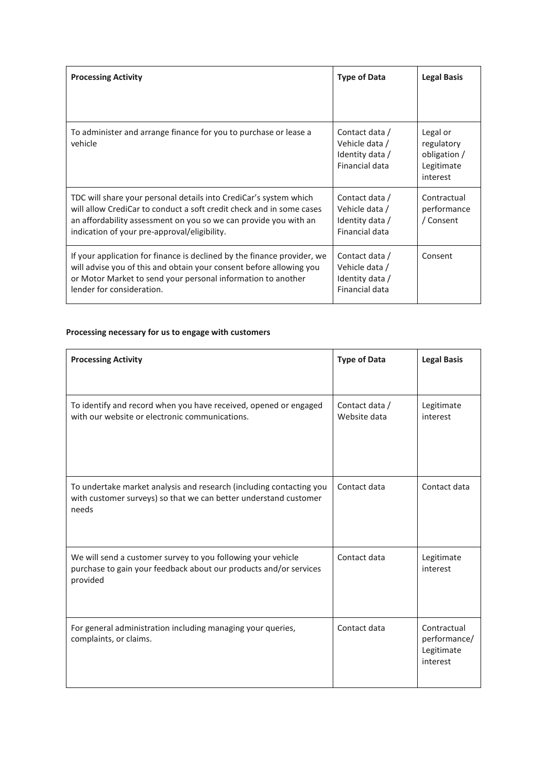| <b>Processing Activity</b>                                                                                                                                                                                                                                    | <b>Type of Data</b>                                                   | <b>Legal Basis</b>                                               |
|---------------------------------------------------------------------------------------------------------------------------------------------------------------------------------------------------------------------------------------------------------------|-----------------------------------------------------------------------|------------------------------------------------------------------|
| To administer and arrange finance for you to purchase or lease a<br>vehicle                                                                                                                                                                                   | Contact data /<br>Vehicle data /<br>Identity data /<br>Financial data | Legal or<br>regulatory<br>obligation /<br>Legitimate<br>interest |
| TDC will share your personal details into CrediCar's system which<br>will allow CrediCar to conduct a soft credit check and in some cases<br>an affordability assessment on you so we can provide you with an<br>indication of your pre-approval/eligibility. | Contact data /<br>Vehicle data /<br>Identity data /<br>Financial data | Contractual<br>performance<br>/ Consent                          |
| If your application for finance is declined by the finance provider, we<br>will advise you of this and obtain your consent before allowing you<br>or Motor Market to send your personal information to another<br>lender for consideration.                   | Contact data /<br>Vehicle data /<br>Identity data /<br>Financial data | Consent                                                          |

# **Processing necessary for us to engage with customers**

| <b>Processing Activity</b>                                                                                                                       | <b>Type of Data</b>            | <b>Legal Basis</b>                                    |
|--------------------------------------------------------------------------------------------------------------------------------------------------|--------------------------------|-------------------------------------------------------|
|                                                                                                                                                  |                                |                                                       |
| To identify and record when you have received, opened or engaged<br>with our website or electronic communications.                               | Contact data /<br>Website data | Legitimate<br>interest                                |
| To undertake market analysis and research (including contacting you<br>with customer surveys) so that we can better understand customer<br>needs | Contact data                   | Contact data                                          |
| We will send a customer survey to you following your vehicle<br>purchase to gain your feedback about our products and/or services<br>provided    | Contact data                   | Legitimate<br>interest                                |
| For general administration including managing your queries,<br>complaints, or claims.                                                            | Contact data                   | Contractual<br>performance/<br>Legitimate<br>interest |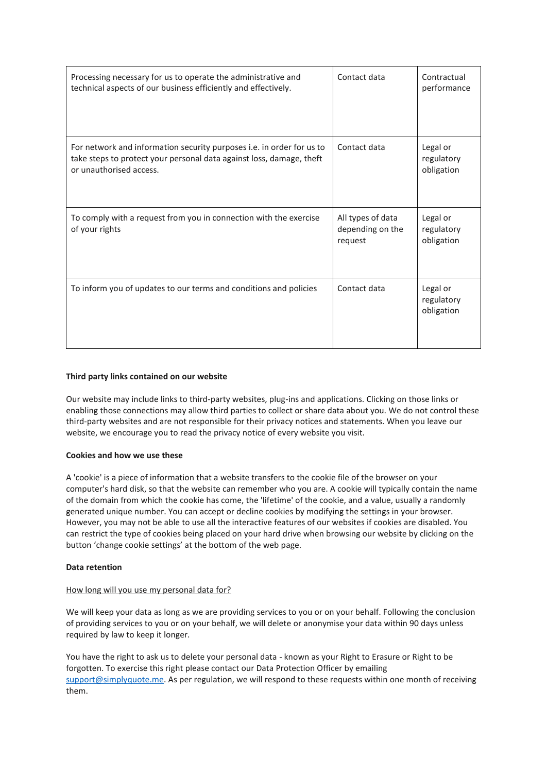| Processing necessary for us to operate the administrative and<br>technical aspects of our business efficiently and effectively.                                          | Contact data                                     | Contractual<br>performance           |
|--------------------------------------------------------------------------------------------------------------------------------------------------------------------------|--------------------------------------------------|--------------------------------------|
| For network and information security purposes i.e. in order for us to<br>take steps to protect your personal data against loss, damage, theft<br>or unauthorised access. | Contact data                                     | Legal or<br>regulatory<br>obligation |
| To comply with a request from you in connection with the exercise<br>of your rights                                                                                      | All types of data<br>depending on the<br>request | Legal or<br>regulatory<br>obligation |
| To inform you of updates to our terms and conditions and policies                                                                                                        | Contact data                                     | Legal or<br>regulatory<br>obligation |

# **Third party links contained on our website**

Our website may include links to third-party websites, plug-ins and applications. Clicking on those links or enabling those connections may allow third parties to collect or share data about you. We do not control these third-party websites and are not responsible for their privacy notices and statements. When you leave our website, we encourage you to read the privacy notice of every website you visit.

# **Cookies and how we use these**

A 'cookie' is a piece of information that a website transfers to the cookie file of the browser on your computer's hard disk, so that the website can remember who you are. A cookie will typically contain the name of the domain from which the cookie has come, the 'lifetime' of the cookie, and a value, usually a randomly generated unique number. You can accept or decline cookies by modifying the settings in your browser. However, you may not be able to use all the interactive features of our websites if cookies are disabled. You can restrict the type of cookies being placed on your hard drive when browsing our website by clicking on the button 'change cookie settings' at the bottom of the web page.

# **Data retention**

# How long will you use my personal data for?

We will keep your data as long as we are providing services to you or on your behalf. Following the conclusion of providing services to you or on your behalf, we will delete or anonymise your data within 90 days unless required by law to keep it longer.

You have the right to ask us to delete your personal data - known as your Right to Erasure or Right to be forgotten. To exercise this right please contact our Data Protection Officer by emailing [support@simplyquote.me.](mailto:support@simplyquote.me) As per regulation, we will respond to these requests within one month of receiving them.